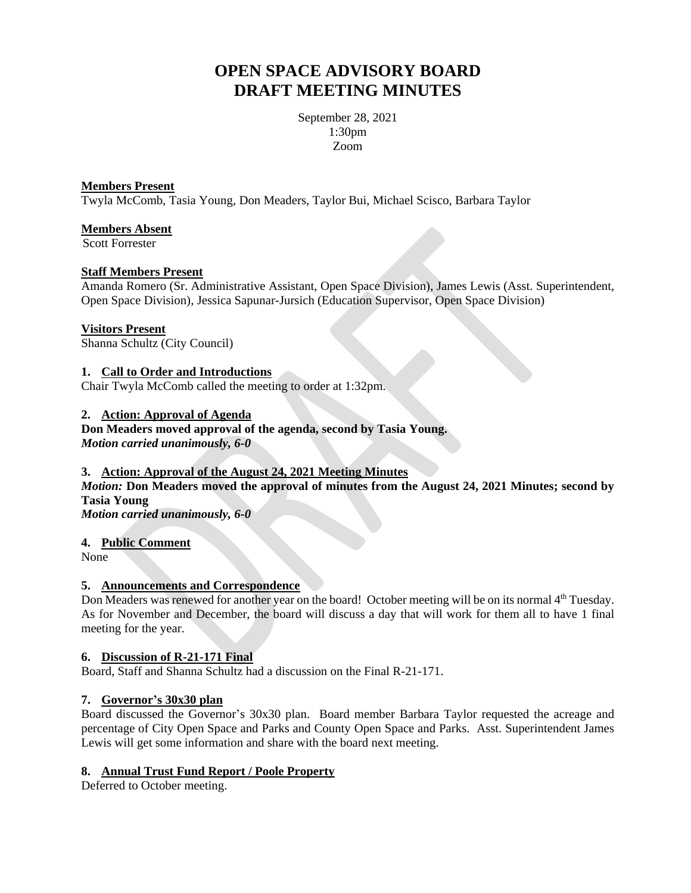# **OPEN SPACE ADVISORY BOARD DRAFT MEETING MINUTES**

September 28, 2021 1:30pm Zoom

#### **Members Present**

Twyla McComb, Tasia Young, Don Meaders, Taylor Bui, Michael Scisco, Barbara Taylor

#### **Members Absent**

Scott Forrester

#### **Staff Members Present**

Amanda Romero (Sr. Administrative Assistant, Open Space Division), James Lewis (Asst. Superintendent, Open Space Division), Jessica Sapunar-Jursich (Education Supervisor, Open Space Division)

#### **Visitors Present**

Shanna Schultz (City Council)

#### **1. Call to Order and Introductions**

Chair Twyla McComb called the meeting to order at 1:32pm.

# **2. Action: Approval of Agenda**

**Don Meaders moved approval of the agenda, second by Tasia Young.** *Motion carried unanimously, 6-0*

## **3. Action: Approval of the August 24, 2021 Meeting Minutes**

*Motion:* **Don Meaders moved the approval of minutes from the August 24, 2021 Minutes; second by Tasia Young**

*Motion carried unanimously, 6-0*

#### **4. Public Comment**

None

#### **5. Announcements and Correspondence**

Don Meaders was renewed for another year on the board! October meeting will be on its normal 4<sup>th</sup> Tuesday. As for November and December, the board will discuss a day that will work for them all to have 1 final meeting for the year.

#### **6. Discussion of R-21-171 Final**

Board, Staff and Shanna Schultz had a discussion on the Final R-21-171.

#### **7. Governor's 30x30 plan**

Board discussed the Governor's 30x30 plan. Board member Barbara Taylor requested the acreage and percentage of City Open Space and Parks and County Open Space and Parks. Asst. Superintendent James Lewis will get some information and share with the board next meeting.

#### **8. Annual Trust Fund Report / Poole Property**

Deferred to October meeting.